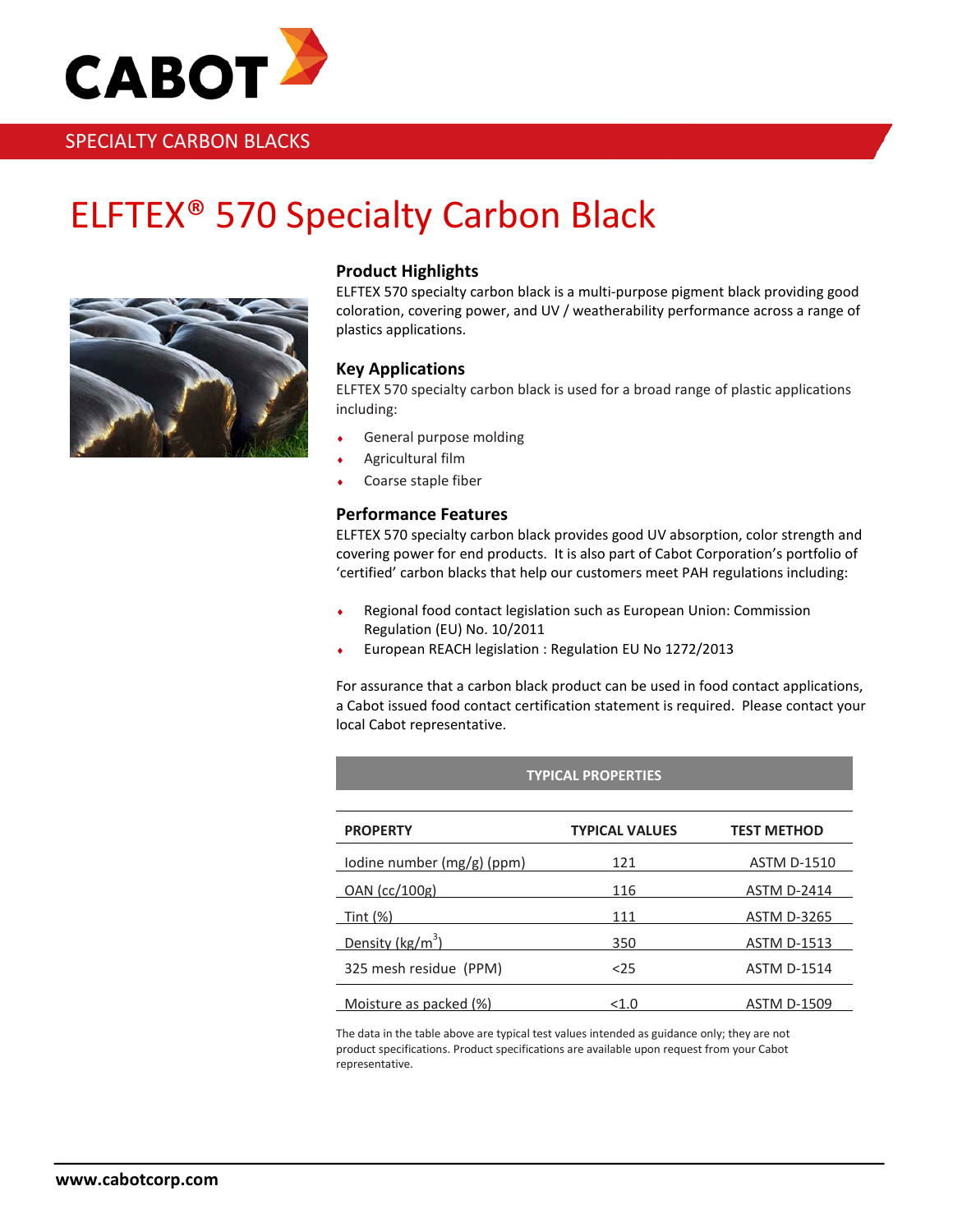

# SPECIALTY CARBON BLACKS

# ELFTEX® 570 Specialty Carbon Black



# **Product Highlights**

ELFTEX 570 specialty carbon black is a multi-purpose pigment black providing good coloration, covering power, and UV / weatherability performance across a range of plastics applications.

## **Key Applications**

ELFTEX 570 specialty carbon black is used for a broad range of plastic applications including:

- General purpose molding
- Agricultural film
- Coarse staple fiber

### **Performance Features**

ELFTEX 570 specialty carbon black provides good UV absorption, color strength and covering power for end products. It is also part of Cabot Corporation's portfolio of 'certified' carbon blacks that help our customers meet PAH regulations including:

- ♦ Regional food contact legislation such as European Union: Commission Regulation (EU) No. 10/2011
- ♦ European REACH legislation : Regulation EU No 1272/2013

For assurance that a carbon black product can be used in food contact applications, a Cabot issued food contact certification statement is required. Please contact your local Cabot representative.

| <b>TYPICAL PROPERTIES</b>   |                       |                    |
|-----------------------------|-----------------------|--------------------|
|                             |                       |                    |
| <b>PROPERTY</b>             | <b>TYPICAL VALUES</b> | <b>TEST METHOD</b> |
| Iodine number (mg/g) (ppm)  | 121                   | <b>ASTM D-1510</b> |
| OAN (cc/100g)               | 116                   | <b>ASTM D-2414</b> |
| Tint (%)                    | 111                   | <b>ASTM D-3265</b> |
| Density ( $\text{kg/m}^3$ ) | 350                   | <b>ASTM D-1513</b> |
| 325 mesh residue (PPM)      | $25$                  | <b>ASTM D-1514</b> |
| Moisture as packed (%)      | < 1.0                 | <b>ASTM D-1509</b> |

The data in the table above are typical test values intended as guidance only; they are not product specifications. Product specifications are available upon request from your Cabot representative.